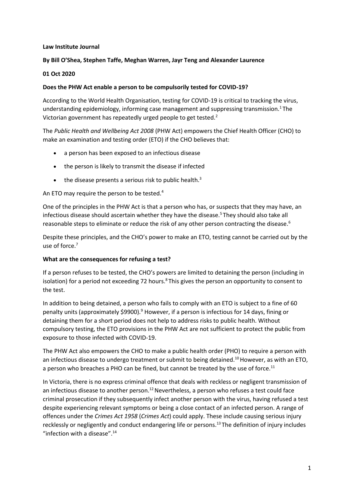#### **Law Institute Journal**

# **By Bill O'Shea, Stephen Taffe, Meghan Warren, Jayr Teng and Alexander Laurence**

### **01 Oct 2020**

### **Does the PHW Act enable a person to be compulsorily tested for COVID-19?**

According to the World Health Organisation, testing for COVID-19 is critical to tracking the virus, understanding epidemiology, informing case management and suppressing transmission.<sup>1</sup> The Victorian government has repeatedly urged people to get tested.<sup>2</sup>

The *Public Health and Wellbeing Act 2008* (PHW Act) empowers the Chief Health Officer (CHO) to make an examination and testing order (ETO) if the CHO believes that:

- a person has been exposed to an infectious disease
- the person is likely to transmit the disease if infected
- $\bullet$  the disease presents a serious risk to public health.<sup>3</sup>

An ETO may require the person to be tested.<sup>4</sup>

One of the principles in the PHW Act is that a person who has, or suspects that they may have, an infectious disease should ascertain whether they have the disease.<sup>5</sup> They should also take all reasonable steps to eliminate or reduce the risk of any other person contracting the disease.<sup>6</sup>

Despite these principles, and the CHO's power to make an ETO, testing cannot be carried out by the use of force.<sup>7</sup>

#### **What are the consequences for refusing a test?**

If a person refuses to be tested, the CHO's powers are limited to detaining the person (including in isolation) for a period not exceeding 72 hours.<sup>8</sup> This gives the person an opportunity to consent to the test.

In addition to being detained, a person who fails to comply with an ETO is subject to a fine of 60 penalty units (approximately \$9900).<sup>9</sup> However, if a person is infectious for 14 days, fining or detaining them for a short period does not help to address risks to public health. Without compulsory testing, the ETO provisions in the PHW Act are not sufficient to protect the public from exposure to those infected with COVID-19.

The PHW Act also empowers the CHO to make a public health order (PHO) to require a person with an infectious disease to undergo treatment or submit to being detained.<sup>10</sup> However, as with an ETO, a person who breaches a PHO can be fined, but cannot be treated by the use of force.<sup>11</sup>

In Victoria, there is no express criminal offence that deals with reckless or negligent transmission of an infectious disease to another person.<sup>12</sup> Nevertheless, a person who refuses a test could face criminal prosecution if they subsequently infect another person with the virus, having refused a test despite experiencing relevant symptoms or being a close contact of an infected person. A range of offences under the *Crimes Act 1958* (*Crimes Act*) could apply. These include causing serious injury recklessly or negligently and conduct endangering life or persons.<sup>13</sup> The definition of injury includes "infection with a disease".<sup>14</sup>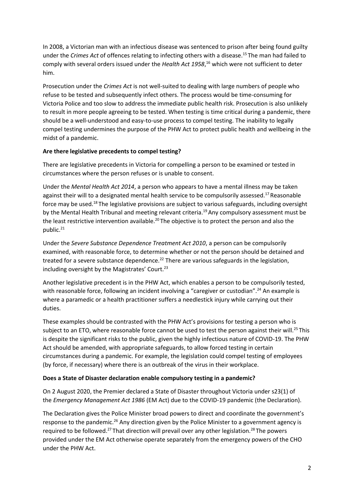In 2008, a Victorian man with an infectious disease was sentenced to prison after being found guilty under the *Crimes Act* of offences relating to infecting others with a disease.<sup>15</sup> The man had failed to comply with several orders issued under the *Health Act 1958*, <sup>16</sup> which were not sufficient to deter him.

Prosecution under the *Crimes Act* is not well-suited to dealing with large numbers of people who refuse to be tested and subsequently infect others. The process would be time-consuming for Victoria Police and too slow to address the immediate public health risk. Prosecution is also unlikely to result in more people agreeing to be tested. When testing is time critical during a pandemic, there should be a well-understood and easy-to-use process to compel testing. The inability to legally compel testing undermines the purpose of the PHW Act to protect public health and wellbeing in the midst of a pandemic.

# **Are there legislative precedents to compel testing?**

There are legislative precedents in Victoria for compelling a person to be examined or tested in circumstances where the person refuses or is unable to consent.

Under the *Mental Health Act 2014*, a person who appears to have a mental illness may be taken against their will to a designated mental health service to be compulsorily assessed.<sup>17</sup> Reasonable force may be used.<sup>18</sup> The legislative provisions are subject to various safeguards, including oversight by the Mental Health Tribunal and meeting relevant criteria.<sup>19</sup> Any compulsory assessment must be the least restrictive intervention available.<sup>20</sup> The objective is to protect the person and also the public.<sup>21</sup>

Under the *Severe Substance Dependence Treatment Act 2010*, a person can be compulsorily examined, with reasonable force, to determine whether or not the person should be detained and treated for a severe substance dependence.<sup>22</sup> There are various safeguards in the legislation, including oversight by the Magistrates' Court.<sup>23</sup>

Another legislative precedent is in the PHW Act, which enables a person to be compulsorily tested, with reasonable force, following an incident involving a "caregiver or custodian".<sup>24</sup> An example is where a paramedic or a health practitioner suffers a needlestick injury while carrying out their duties.

These examples should be contrasted with the PHW Act's provisions for testing a person who is subject to an ETO, where reasonable force cannot be used to test the person against their will.<sup>25</sup> This is despite the significant risks to the public, given the highly infectious nature of COVID-19. The PHW Act should be amended, with appropriate safeguards, to allow forced testing in certain circumstances during a pandemic. For example, the legislation could compel testing of employees (by force, if necessary) where there is an outbreak of the virus in their workplace.

#### **Does a State of Disaster declaration enable compulsory testing in a pandemic?**

On 2 August 2020, the Premier declared a State of Disaster throughout Victoria under s23(1) of the *Emergency Management Act 1986* (EM Act) due to the COVID-19 pandemic (the Declaration).

The Declaration gives the Police Minister broad powers to direct and coordinate the government's response to the pandemic.<sup>26</sup> Any direction given by the Police Minister to a government agency is required to be followed.<sup>27</sup> That direction will prevail over any other legislation.<sup>28</sup> The powers provided under the EM Act otherwise operate separately from the emergency powers of the CHO under the PHW Act.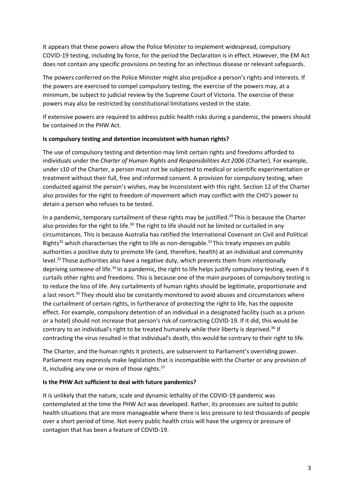It appears that these powers allow the Police Minister to implement widespread, compulsory COVID-19 testing, including by force, for the period the Declaration is in effect. However, the EM Act does not contain any specific provisions on testing for an infectious disease or relevant safeguards.

The powers conferred on the Police Minister might also prejudice a person's rights and interests. If the powers are exercised to compel compulsory testing, the exercise of the powers may, at a minimum, be subject to judicial review by the Supreme Court of Victoria. The exercise of these powers may also be restricted by constitutional limitations vested in the state.

If extensive powers are required to address public health risks during a pandemic, the powers should be contained in the PHW Act.

#### **Is compulsory testing and detention inconsistent with human rights?**

The use of compulsory testing and detention may limit certain rights and freedoms afforded to individuals under the *Charter of Human Rights and Responsibilities Act 2006* (Charter). For example, under s10 of the Charter, a person must not be subjected to medical or scientific experimentation or treatment without their full, free and informed consent. A provision for compulsory testing, when conducted against the person's wishes, may be inconsistent with this right. Section 12 of the Charter also provides for the right to freedom of movement which may conflict with the CHO's power to detain a person who refuses to be tested.

In a pandemic, temporary curtailment of these rights may be justified.<sup>29</sup> This is because the Charter also provides for the right to life.<sup>30</sup> The right to life should not be limited or curtailed in any circumstances. This is because Australia has ratified the International Covenant on Civil and Political Rights<sup>31</sup> which characterises the right to life as non-derogable.<sup>32</sup> This treaty imposes on public authorities a positive duty to promote life (and, therefore, health) at an individual and community level.<sup>33</sup> Those authorities also have a negative duty, which prevents them from intentionally depriving someone of life.<sup>34</sup> In a pandemic, the right to life helps justify compulsory testing, even if it curtails other rights and freedoms. This is because one of the main purposes of compulsory testing is to reduce the loss of life. Any curtailments of human rights should be legitimate, proportionate and a last resort.<sup>35</sup> They should also be constantly monitored to avoid abuses and circumstances where the curtailment of certain rights, in furtherance of protecting the right to life, has the opposite effect. For example, compulsory detention of an individual in a designated facility (such as a prison or a hotel) should not increase that person's risk of contracting COVID-19. If it did, this would be contrary to an individual's right to be treated humanely while their liberty is deprived.<sup>36</sup> If contracting the virus resulted in that individual's death, this would be contrary to their right to life.

The Charter, and the human rights it protects, are subservient to Parliament's overriding power. Parliament may expressly make legislation that is incompatible with the Charter or any provision of it, including any one or more of those rights. $37$ 

# **Is the PHW Act sufficient to deal with future pandemics?**

It is unlikely that the nature, scale and dynamic lethality of the COVID-19 pandemic was contemplated at the time the PHW Act was developed. Rather, its processes are suited to public health situations that are more manageable where there is less pressure to test thousands of people over a short period of time. Not every public health crisis will have the urgency or pressure of contagion that has been a feature of COVID-19.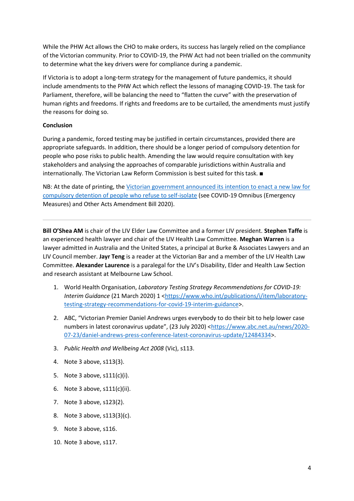While the PHW Act allows the CHO to make orders, its success has largely relied on the compliance of the Victorian community. Prior to COVID-19, the PHW Act had not been trialled on the community to determine what the key drivers were for compliance during a pandemic.

If Victoria is to adopt a long-term strategy for the management of future pandemics, it should include amendments to the PHW Act which reflect the lessons of managing COVID-19. The task for Parliament, therefore, will be balancing the need to "flatten the curve" with the preservation of human rights and freedoms. If rights and freedoms are to be curtailed, the amendments must justify the reasons for doing so.

#### **Conclusion**

During a pandemic, forced testing may be justified in certain circumstances, provided there are appropriate safeguards. In addition, there should be a longer period of compulsory detention for people who pose risks to public health. Amending the law would require consultation with key stakeholders and analysing the approaches of comparable jurisdictions within Australia and internationally. The Victorian Law Reform Commission is best suited for this task. ■

NB: At the date of printing, the [Victorian government announced its intention to enact a new law for](https://eur04.safelinks.protection.outlook.com/?url=https%3A%2F%2Fwww.theage.com.au%2Fnational%2Fvictoria%2Fpeople-who-refuse-to-self-isolate-could-be-detained-under-proposed-victorian-law-20200914-p55vm0.html%3Fbtis&data=02%7C01%7C%7Cc35b7c16b4cb4abf617508d858ef3c02%7C84df9e7fe9f640afb435aaaaaaaaaaaa%7C1%7C0%7C637357131822554981&sdata=HfPxTbqVwvjkgP8pJaD%2FvHQFBC%2Blu3Q2paTtygvfME0%3D&reserved=0)  [compulsory detention of people who refuse to self-isolate](https://eur04.safelinks.protection.outlook.com/?url=https%3A%2F%2Fwww.theage.com.au%2Fnational%2Fvictoria%2Fpeople-who-refuse-to-self-isolate-could-be-detained-under-proposed-victorian-law-20200914-p55vm0.html%3Fbtis&data=02%7C01%7C%7Cc35b7c16b4cb4abf617508d858ef3c02%7C84df9e7fe9f640afb435aaaaaaaaaaaa%7C1%7C0%7C637357131822554981&sdata=HfPxTbqVwvjkgP8pJaD%2FvHQFBC%2Blu3Q2paTtygvfME0%3D&reserved=0) (see COVID-19 Omnibus (Emergency Measures) and Other Acts Amendment Bill 2020).

**Bill O'Shea AM** is chair of the LIV Elder Law Committee and a former LIV president. **Stephen Taffe** is an experienced health lawyer and chair of the LIV Health Law Committee. **Meghan Warren** is a lawyer admitted in Australia and the United States, a principal at Burke & Associates Lawyers and an LIV Council member. **Jayr Teng** is a reader at the Victorian Bar and a member of the LIV Health Law Committee. **Alexander Laurence** is a paralegal for the LIV's Disability, Elder and Health Law Section and research assistant at Melbourne Law School.

- 1. World Health Organisation, *Laboratory Testing Strategy Recommendations for COVID-19: Interim Guidance* (21 March 2020) 1 [<https://www.who.int/publications/i/item/laboratory](https://www.who.int/publications/i/item/laboratory-testing-strategy-recommendations-for-covid-19-interim-guidance)[testing-strategy-recommendations-for-covid-19-interim-guidance>](https://www.who.int/publications/i/item/laboratory-testing-strategy-recommendations-for-covid-19-interim-guidance).
- 2. ABC, "Victorian Premier Daniel Andrews urges everybody to do their bit to help lower case numbers in latest coronavirus update", (23 July 2020) <[https://www.abc.net.au/news/2020-](https://www.abc.net.au/news/2020-07-23/daniel-andrews-press-conference-latest-coronavirus-update/12484334) [07-23/daniel-andrews-press-conference-latest-coronavirus-update/12484334>](https://www.abc.net.au/news/2020-07-23/daniel-andrews-press-conference-latest-coronavirus-update/12484334).
- 3. *Public Health and Wellbeing Act 2008* (Vic), s113.
- 4. Note 3 above, s113(3).
- 5. Note 3 above, s111(c)(i).
- 6. Note 3 above, s111(c)(ii).
- 7. Note 3 above, s123(2).
- 8. Note 3 above, s113(3)(c).
- 9. Note 3 above, s116.
- 10. Note 3 above, s117.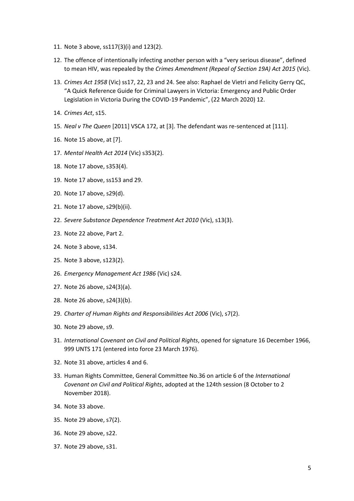- 11. Note 3 above, ss117(3)(i) and 123(2).
- 12. The offence of intentionally infecting another person with a "very serious disease", defined to mean HIV, was repealed by the *Crimes Amendment (Repeal of Section 19A) Act 2015* (Vic).
- 13. *Crimes Act 1958* (Vic) ss17, 22, 23 and 24. See also: Raphael de Vietri and Felicity Gerry QC, "A Quick Reference Guide for Criminal Lawyers in Victoria: Emergency and Public Order Legislation in Victoria During the COVID-19 Pandemic", (22 March 2020) 12.
- 14. *Crimes Act*, s15.
- 15. *Neal v The Queen* [2011] VSCA 172, at [3]. The defendant was re-sentenced at [111].
- 16. Note 15 above, at [7].
- 17. *Mental Health Act 2014* (Vic) s353(2).
- 18. Note 17 above, s353(4).
- 19. Note 17 above, ss153 and 29.
- 20. Note 17 above, s29(d).
- 21. Note 17 above, s29(b)(ii).
- 22. *Severe Substance Dependence Treatment Act 2010* (Vic), s13(3).
- 23. Note 22 above, Part 2.
- 24. Note 3 above, s134.
- 25. Note 3 above, s123(2).
- 26. *Emergency Management Act 1986* (Vic) s24.
- 27. Note 26 above, s24(3)(a).
- 28. Note 26 above, s24(3)(b).
- 29. *Charter of Human Rights and Responsibilities Act 2006* (Vic), s7(2).
- 30. Note 29 above, s9.
- 31. *International Covenant on Civil and Political Rights*, opened for signature 16 December 1966, 999 UNTS 171 (entered into force 23 March 1976).
- 32. Note 31 above, articles 4 and 6.
- 33. Human Rights Committee, General Committee No.36 on article 6 of the *International Covenant on Civil and Political Rights*, adopted at the 124th session (8 October to 2 November 2018).
- 34. Note 33 above.
- 35. Note 29 above, s7(2).
- 36. Note 29 above, s22.
- 37. Note 29 above, s31.